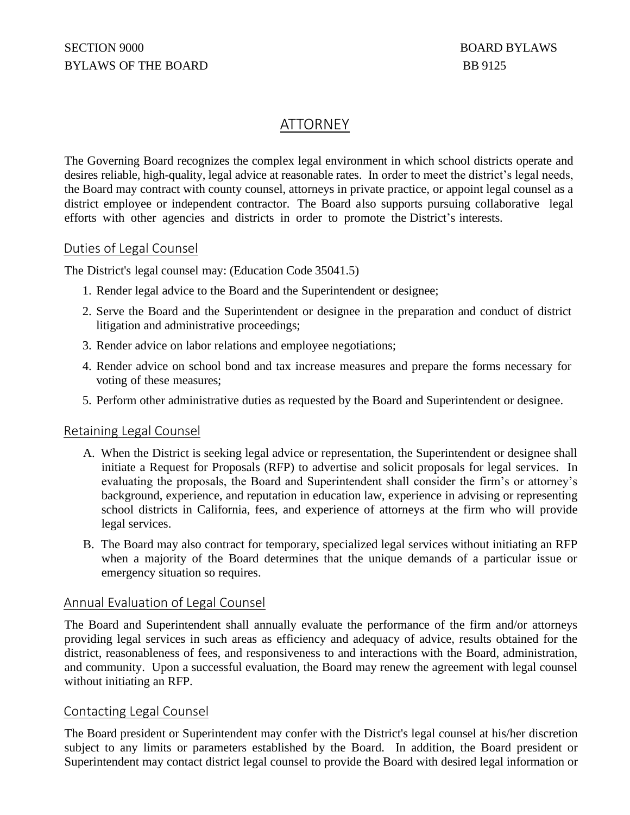# ATTORNEY

The Governing Board recognizes the complex legal environment in which school districts operate and desires reliable, high-quality, legal advice at reasonable rates. In order to meet the district's legal needs, the Board may contract with county counsel, attorneys in private practice, or appoint legal counsel as a district employee or independent contractor. The Board also supports pursuing collaborative legal efforts with other agencies and districts in order to promote the District's interests.

# Duties of Legal Counsel

The District's legal counsel may: (Education Code 35041.5)

- 1. Render legal advice to the Board and the Superintendent or designee;
- 2. Serve the Board and the Superintendent or designee in the preparation and conduct of district litigation and administrative proceedings;
- 3. Render advice on labor relations and employee negotiations;
- 4. Render advice on school bond and tax increase measures and prepare the forms necessary for voting of these measures;
- 5. Perform other administrative duties as requested by the Board and Superintendent or designee.

# Retaining Legal Counsel

- A. When the District is seeking legal advice or representation, the Superintendent or designee shall initiate a Request for Proposals (RFP) to advertise and solicit proposals for legal services. In evaluating the proposals, the Board and Superintendent shall consider the firm's or attorney's background, experience, and reputation in education law, experience in advising or representing school districts in California, fees, and experience of attorneys at the firm who will provide legal services.
- B. The Board may also contract for temporary, specialized legal services without initiating an RFP when a majority of the Board determines that the unique demands of a particular issue or emergency situation so requires.

# Annual Evaluation of Legal Counsel

The Board and Superintendent shall annually evaluate the performance of the firm and/or attorneys providing legal services in such areas as efficiency and adequacy of advice, results obtained for the district, reasonableness of fees, and responsiveness to and interactions with the Board, administration, and community. Upon a successful evaluation, the Board may renew the agreement with legal counsel without initiating an RFP.

# Contacting Legal Counsel

The Board president or Superintendent may confer with the District's legal counsel at his/her discretion subject to any limits or parameters established by the Board. In addition, the Board president or Superintendent may contact district legal counsel to provide the Board with desired legal information or